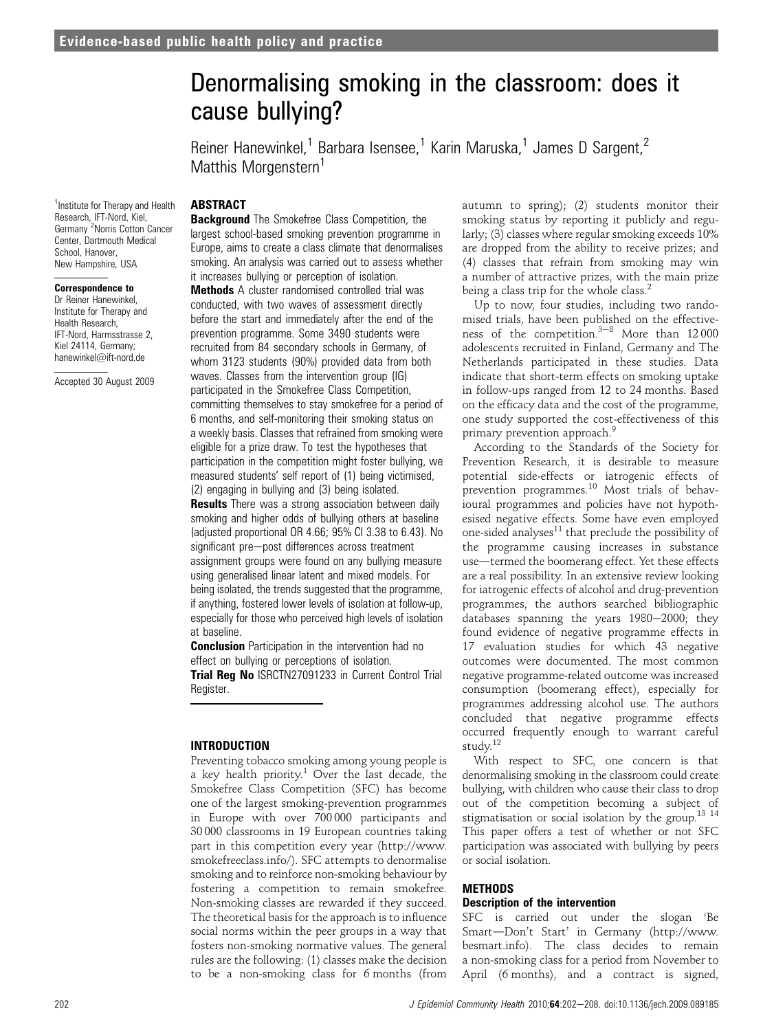# Denormalising smoking in the classroom: does it cause bullying?

Reiner Hanewinkel,<sup>1</sup> Barbara Isensee,<sup>1</sup> Karin Maruska,<sup>1</sup> James D Sargent,<sup>2</sup> Matthis Morgenstern<sup>1</sup>

# ABSTRACT

<sup>1</sup> Institute for Therapy and Health Research, IFT-Nord, Kiel, Germany <sup>2</sup>Norris Cotton Cancer Center, Dartmouth Medical School, Hanover, New Hampshire, USA

#### Correspondence to

Dr Reiner Hanewinkel, Institute for Therapy and Health Research, IFT-Nord, Harmsstrasse 2, Kiel 24114, Germany; hanewinkel@ift-nord.de

Accepted 30 August 2009

**Background** The Smokefree Class Competition, the largest school-based smoking prevention programme in Europe, aims to create a class climate that denormalises smoking. An analysis was carried out to assess whether it increases bullying or perception of isolation.

Methods A cluster randomised controlled trial was conducted, with two waves of assessment directly before the start and immediately after the end of the prevention programme. Some 3490 students were recruited from 84 secondary schools in Germany, of whom 3123 students (90%) provided data from both waves. Classes from the intervention group (IG) participated in the Smokefree Class Competition, committing themselves to stay smokefree for a period of 6 months, and self-monitoring their smoking status on a weekly basis. Classes that refrained from smoking were eligible for a prize draw. To test the hypotheses that participation in the competition might foster bullying, we measured students' self report of (1) being victimised, (2) engaging in bullying and (3) being isolated.

**Results** There was a strong association between daily smoking and higher odds of bullying others at baseline (adjusted proportional OR 4.66; 95% CI 3.38 to 6.43). No significant pre-post differences across treatment assignment groups were found on any bullying measure using generalised linear latent and mixed models. For being isolated, the trends suggested that the programme, if anything, fostered lower levels of isolation at follow-up, especially for those who perceived high levels of isolation at baseline.

**Conclusion** Participation in the intervention had no effect on bullying or perceptions of isolation.

Trial Reg No ISRCTN27091233 in Current Control Trial Register.

# INTRODUCTION

Preventing tobacco smoking among young people is a key health priority.<sup>1</sup> Over the last decade, the Smokefree Class Competition (SFC) has become one of the largest smoking-prevention programmes in Europe with over 700 000 participants and 30 000 classrooms in 19 European countries taking part in this competition every year (http://www. smokefreeclass.info/). SFC attempts to denormalise smoking and to reinforce non-smoking behaviour by fostering a competition to remain smokefree. Non-smoking classes are rewarded if they succeed. The theoretical basis for the approach is to influence social norms within the peer groups in a way that fosters non-smoking normative values. The general rules are the following: (1) classes make the decision to be a non-smoking class for 6 months (from autumn to spring); (2) students monitor their smoking status by reporting it publicly and regularly; (3) classes where regular smoking exceeds 10% are dropped from the ability to receive prizes; and (4) classes that refrain from smoking may win a number of attractive prizes, with the main prize being a class trip for the whole class.<sup>2</sup>

Up to now, four studies, including two randomised trials, have been published on the effectiveness of the competition. $3-8$  More than 12000 adolescents recruited in Finland, Germany and The Netherlands participated in these studies. Data indicate that short-term effects on smoking uptake in follow-ups ranged from 12 to 24 months. Based on the efficacy data and the cost of the programme, one study supported the cost-effectiveness of this primary prevention approach.<sup>9</sup>

According to the Standards of the Society for Prevention Research, it is desirable to measure potential side-effects or iatrogenic effects of prevention programmes.<sup>10</sup> Most trials of behavioural programmes and policies have not hypothesised negative effects. Some have even employed one-sided analyses $11$  that preclude the possibility of the programme causing increases in substance use—termed the boomerang effect. Yet these effects are a real possibility. In an extensive review looking for iatrogenic effects of alcohol and drug-prevention programmes, the authors searched bibliographic databases spanning the years  $1980-2000$ ; they found evidence of negative programme effects in 17 evaluation studies for which 43 negative outcomes were documented. The most common negative programme-related outcome was increased consumption (boomerang effect), especially for programmes addressing alcohol use. The authors concluded that negative programme effects occurred frequently enough to warrant careful study.12

With respect to SFC, one concern is that denormalising smoking in the classroom could create bullying, with children who cause their class to drop out of the competition becoming a subject of stigmatisation or social isolation by the group.13 <sup>14</sup> This paper offers a test of whether or not SFC participation was associated with bullying by peers or social isolation.

# METHODS

#### Description of the intervention

SFC is carried out under the slogan 'Be Smart-Don't Start' in Germany (http://www. besmart.info). The class decides to remain a non-smoking class for a period from November to April (6 months), and a contract is signed,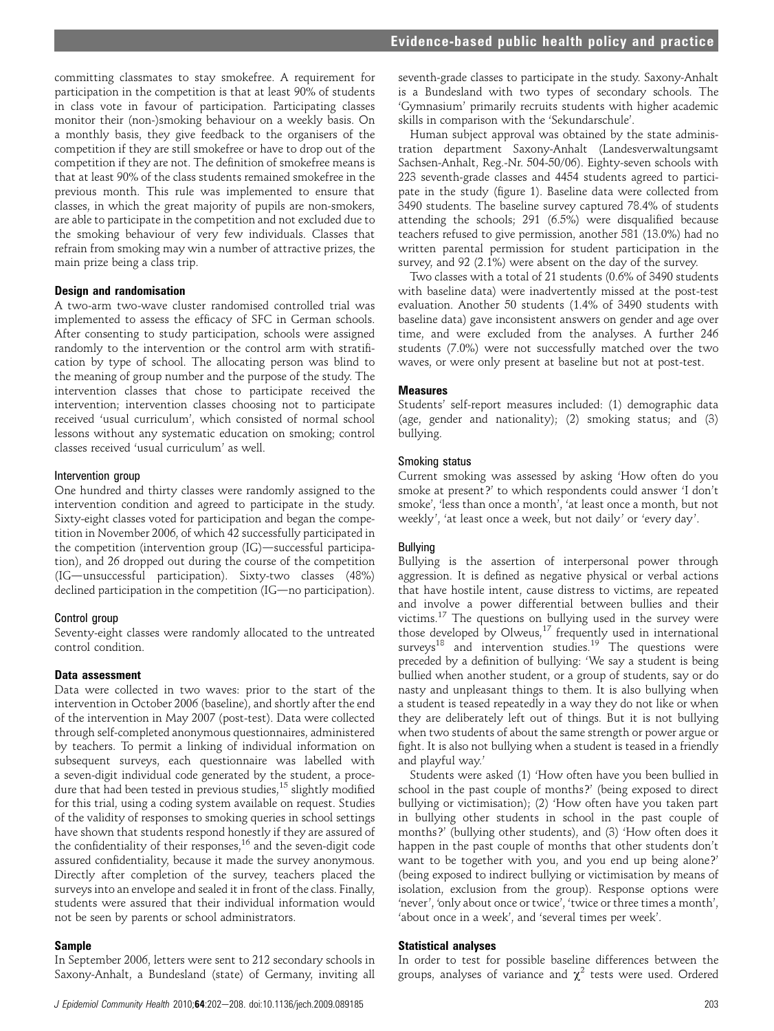committing classmates to stay smokefree. A requirement for participation in the competition is that at least 90% of students in class vote in favour of participation. Participating classes monitor their (non-)smoking behaviour on a weekly basis. On a monthly basis, they give feedback to the organisers of the competition if they are still smokefree or have to drop out of the competition if they are not. The definition of smokefree means is that at least 90% of the class students remained smokefree in the previous month. This rule was implemented to ensure that classes, in which the great majority of pupils are non-smokers, are able to participate in the competition and not excluded due to the smoking behaviour of very few individuals. Classes that refrain from smoking may win a number of attractive prizes, the main prize being a class trip.

#### Design and randomisation

A two-arm two-wave cluster randomised controlled trial was implemented to assess the efficacy of SFC in German schools. After consenting to study participation, schools were assigned randomly to the intervention or the control arm with stratification by type of school. The allocating person was blind to the meaning of group number and the purpose of the study. The intervention classes that chose to participate received the intervention; intervention classes choosing not to participate received 'usual curriculum', which consisted of normal school lessons without any systematic education on smoking; control classes received 'usual curriculum' as well.

#### Intervention group

One hundred and thirty classes were randomly assigned to the intervention condition and agreed to participate in the study. Sixty-eight classes voted for participation and began the competition in November 2006, of which 42 successfully participated in the competition (intervention group (IG)-successful participation), and 26 dropped out during the course of the competition (IG-unsuccessful participation). Sixty-two classes (48%) declined participation in the competition (IG—no participation).

#### Control group

Seventy-eight classes were randomly allocated to the untreated control condition.

#### Data assessment

Data were collected in two waves: prior to the start of the intervention in October 2006 (baseline), and shortly after the end of the intervention in May 2007 (post-test). Data were collected through self-completed anonymous questionnaires, administered by teachers. To permit a linking of individual information on subsequent surveys, each questionnaire was labelled with a seven-digit individual code generated by the student, a procedure that had been tested in previous studies,<sup>15</sup> slightly modified for this trial, using a coding system available on request. Studies of the validity of responses to smoking queries in school settings have shown that students respond honestly if they are assured of the confidentiality of their responses, $^{16}$  and the seven-digit code assured confidentiality, because it made the survey anonymous. Directly after completion of the survey, teachers placed the surveys into an envelope and sealed it in front of the class. Finally, students were assured that their individual information would not be seen by parents or school administrators.

#### Sample

In September 2006, letters were sent to 212 secondary schools in Saxony-Anhalt, a Bundesland (state) of Germany, inviting all

seventh-grade classes to participate in the study. Saxony-Anhalt is a Bundesland with two types of secondary schools. The 'Gymnasium' primarily recruits students with higher academic skills in comparison with the 'Sekundarschule'.

Human subject approval was obtained by the state administration department Saxony-Anhalt (Landesverwaltungsamt Sachsen-Anhalt, Reg.-Nr. 504-50/06). Eighty-seven schools with 223 seventh-grade classes and 4454 students agreed to participate in the study (figure 1). Baseline data were collected from 3490 students. The baseline survey captured 78.4% of students attending the schools; 291 (6.5%) were disqualified because teachers refused to give permission, another 581 (13.0%) had no written parental permission for student participation in the survey, and 92 (2.1%) were absent on the day of the survey.

Two classes with a total of 21 students (0.6% of 3490 students with baseline data) were inadvertently missed at the post-test evaluation. Another 50 students (1.4% of 3490 students with baseline data) gave inconsistent answers on gender and age over time, and were excluded from the analyses. A further 246 students (7.0%) were not successfully matched over the two waves, or were only present at baseline but not at post-test.

#### Measures

Students' self-report measures included: (1) demographic data (age, gender and nationality); (2) smoking status; and (3) bullying.

#### Smoking status

Current smoking was assessed by asking 'How often do you smoke at present?' to which respondents could answer 'I don't smoke', 'less than once a month', 'at least once a month, but not weekly', 'at least once a week, but not daily' or 'every day'.

### Bullying

Bullying is the assertion of interpersonal power through aggression. It is defined as negative physical or verbal actions that have hostile intent, cause distress to victims, are repeated and involve a power differential between bullies and their victims.<sup>17</sup> The questions on bullying used in the survey were those developed by Olweus,<sup>17</sup> frequently used in international surveys<sup>18</sup> and intervention studies.<sup>19</sup> The questions were preceded by a definition of bullying: 'We say a student is being bullied when another student, or a group of students, say or do nasty and unpleasant things to them. It is also bullying when a student is teased repeatedly in a way they do not like or when they are deliberately left out of things. But it is not bullying when two students of about the same strength or power argue or fight. It is also not bullying when a student is teased in a friendly and playful way.'

Students were asked (1) 'How often have you been bullied in school in the past couple of months?' (being exposed to direct bullying or victimisation); (2) 'How often have you taken part in bullying other students in school in the past couple of months?' (bullying other students), and (3) 'How often does it happen in the past couple of months that other students don't want to be together with you, and you end up being alone?' (being exposed to indirect bullying or victimisation by means of isolation, exclusion from the group). Response options were 'never', 'only about once or twice', 'twice or three times a month', 'about once in a week', and 'several times per week'.

### Statistical analyses

In order to test for possible baseline differences between the groups, analyses of variance and  $\chi^2$  tests were used. Ordered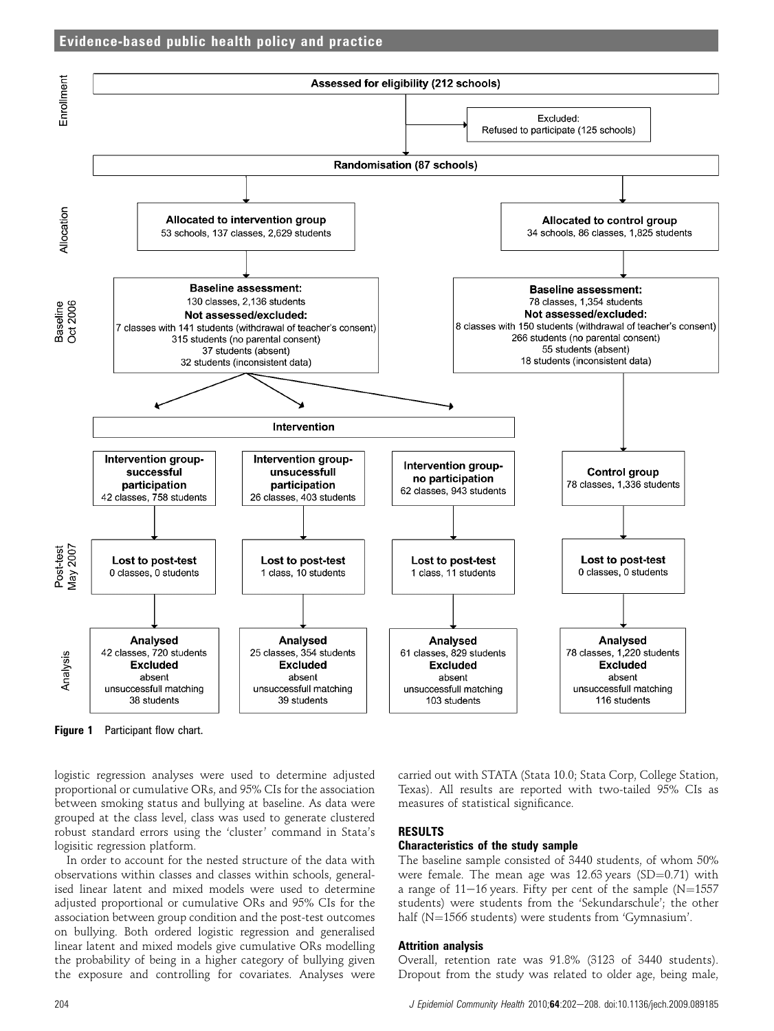



Figure 1 Participant flow chart.

logistic regression analyses were used to determine adjusted proportional or cumulative ORs, and 95% CIs for the association between smoking status and bullying at baseline. As data were grouped at the class level, class was used to generate clustered robust standard errors using the 'cluster' command in Stata's logisitic regression platform.

In order to account for the nested structure of the data with observations within classes and classes within schools, generalised linear latent and mixed models were used to determine adjusted proportional or cumulative ORs and 95% CIs for the association between group condition and the post-test outcomes on bullying. Both ordered logistic regression and generalised linear latent and mixed models give cumulative ORs modelling the probability of being in a higher category of bullying given the exposure and controlling for covariates. Analyses were carried out with STATA (Stata 10.0; Stata Corp, College Station, Texas). All results are reported with two-tailed 95% CIs as measures of statistical significance.

# RESULTS

### Characteristics of the study sample

The baseline sample consisted of 3440 students, of whom 50% were female. The mean age was  $12.63$  years (SD=0.71) with a range of  $11-16$  years. Fifty per cent of the sample (N=1557 students) were students from the 'Sekundarschule'; the other half (N=1566 students) were students from 'Gymnasium'.

### Attrition analysis

Overall, retention rate was 91.8% (3123 of 3440 students). Dropout from the study was related to older age, being male,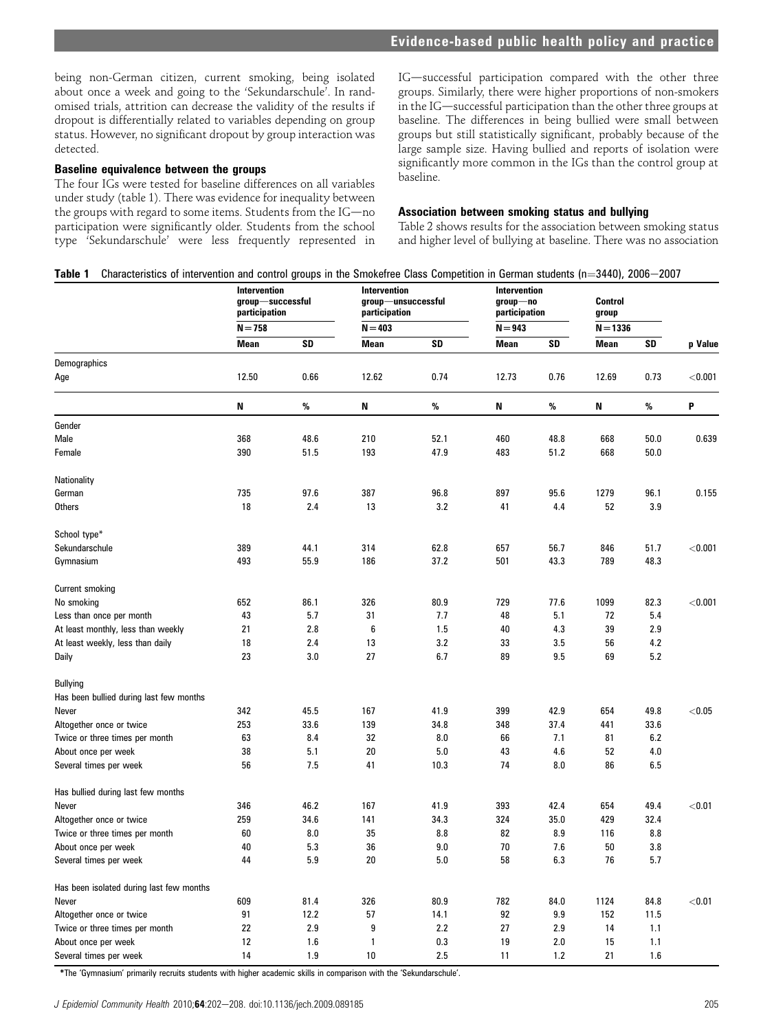being non-German citizen, current smoking, being isolated about once a week and going to the 'Sekundarschule'. In randomised trials, attrition can decrease the validity of the results if dropout is differentially related to variables depending on group status. However, no significant dropout by group interaction was detected.

# Baseline equivalence between the groups

The four IGs were tested for baseline differences on all variables under study (table 1). There was evidence for inequality between the groups with regard to some items. Students from the IG-no participation were significantly older. Students from the school type 'Sekundarschule' were less frequently represented in IG-successful participation compared with the other three groups. Similarly, there were higher proportions of non-smokers in the  $IG$ —successful participation than the other three groups at baseline. The differences in being bullied were small between groups but still statistically significant, probably because of the large sample size. Having bullied and reports of isolation were significantly more common in the IGs than the control group at baseline.

#### Association between smoking status and bullying

Table 2 shows results for the association between smoking status and higher level of bullying at baseline. There was no association

|                                          | Characteristics of intervention and control groups in the Smokefree Class Competition in German students (n=3440), 2006–2007<br><b>Intervention</b><br>group-successful<br>participation<br>$N = 758$ |      | Intervention<br>group-unsuccessful<br>participation<br>$N = 403$ |         | Intervention<br>$group$ -no<br>participation<br>N = 943 |      | <b>Control</b><br>group |      |          |
|------------------------------------------|-------------------------------------------------------------------------------------------------------------------------------------------------------------------------------------------------------|------|------------------------------------------------------------------|---------|---------------------------------------------------------|------|-------------------------|------|----------|
|                                          |                                                                                                                                                                                                       |      |                                                                  |         |                                                         |      | $N = 1336$              |      |          |
|                                          | Mean                                                                                                                                                                                                  | SD   | Mean                                                             | SD      | Mean                                                    | SD   | Mean                    | SD   | p Value  |
| Demographics                             |                                                                                                                                                                                                       |      |                                                                  |         |                                                         |      |                         |      |          |
| Age                                      | 12.50                                                                                                                                                                                                 | 0.66 | 12.62                                                            | 0.74    | 12.73                                                   | 0.76 | 12.69                   | 0.73 | < 0.001  |
|                                          | N                                                                                                                                                                                                     | $\%$ | N                                                                | %       | Ν                                                       | %    | N                       | %    | P        |
| Gender                                   |                                                                                                                                                                                                       |      |                                                                  |         |                                                         |      |                         |      |          |
| Male                                     | 368                                                                                                                                                                                                   | 48.6 | 210                                                              | 52.1    | 460                                                     | 48.8 | 668                     | 50.0 | 0.639    |
| Female                                   | 390                                                                                                                                                                                                   | 51.5 | 193                                                              | 47.9    | 483                                                     | 51.2 | 668                     | 50.0 |          |
| Nationality                              |                                                                                                                                                                                                       |      |                                                                  |         |                                                         |      |                         |      |          |
| German                                   | 735                                                                                                                                                                                                   | 97.6 | 387                                                              | 96.8    | 897                                                     | 95.6 | 1279                    | 96.1 | 0.155    |
| Others                                   | 18                                                                                                                                                                                                    | 2.4  | 13                                                               | 3.2     | 41                                                      | 4.4  | 52                      | 3.9  |          |
| School type*                             |                                                                                                                                                                                                       |      |                                                                  |         |                                                         |      |                         |      |          |
| Sekundarschule                           | 389                                                                                                                                                                                                   | 44.1 | 314                                                              | 62.8    | 657                                                     | 56.7 | 846                     | 51.7 | < 0.001  |
| Gymnasium                                | 493                                                                                                                                                                                                   | 55.9 | 186                                                              | 37.2    | 501                                                     | 43.3 | 789                     | 48.3 |          |
| <b>Current smoking</b>                   |                                                                                                                                                                                                       |      |                                                                  |         |                                                         |      |                         |      |          |
| No smoking                               | 652                                                                                                                                                                                                   | 86.1 | 326                                                              | 80.9    | 729                                                     | 77.6 | 1099                    | 82.3 | < 0.001  |
| Less than once per month                 | 43                                                                                                                                                                                                    | 5.7  | 31                                                               | 7.7     | 48                                                      | 5.1  | 72                      | 5.4  |          |
| At least monthly, less than weekly       | 21                                                                                                                                                                                                    | 2.8  | 6                                                                | 1.5     | 40                                                      | 4.3  | 39                      | 2.9  |          |
| At least weekly, less than daily         | 18                                                                                                                                                                                                    | 2.4  | 13                                                               | 3.2     | 33                                                      | 3.5  | 56                      | 4.2  |          |
| Daily                                    | 23                                                                                                                                                                                                    | 3.0  | 27                                                               | 6.7     | 89                                                      | 9.5  | 69                      | 5.2  |          |
| <b>Bullying</b>                          |                                                                                                                                                                                                       |      |                                                                  |         |                                                         |      |                         |      |          |
| Has been bullied during last few months  |                                                                                                                                                                                                       |      |                                                                  |         |                                                         |      |                         |      |          |
| Never                                    | 342                                                                                                                                                                                                   | 45.5 | 167                                                              | 41.9    | 399                                                     | 42.9 | 654                     | 49.8 | $<0.05$  |
| Altogether once or twice                 | 253                                                                                                                                                                                                   | 33.6 | 139                                                              | 34.8    | 348                                                     | 37.4 | 441                     | 33.6 |          |
| Twice or three times per month           | 63                                                                                                                                                                                                    | 8.4  | 32                                                               | 8.0     | 66                                                      | 7.1  | 81                      | 6.2  |          |
| About once per week                      | 38                                                                                                                                                                                                    | 5.1  | 20                                                               | 5.0     | 43                                                      | 4.6  | 52                      | 4.0  |          |
| Several times per week                   | 56                                                                                                                                                                                                    | 7.5  | 41                                                               | 10.3    | 74                                                      | 8.0  | 86                      | 6.5  |          |
| Has bullied during last few months       |                                                                                                                                                                                                       |      |                                                                  |         |                                                         |      |                         |      |          |
| Never                                    | 346                                                                                                                                                                                                   | 46.2 | 167                                                              | 41.9    | 393                                                     | 42.4 | 654                     | 49.4 | < 0.01   |
| Altogether once or twice                 | 259                                                                                                                                                                                                   | 34.6 | 141                                                              | 34.3    | 324                                                     | 35.0 | 429                     | 32.4 |          |
| Twice or three times per month           | 60                                                                                                                                                                                                    | 8.0  | 35                                                               | 8.8     | 82                                                      | 8.9  | 116                     | 8.8  |          |
| About once per week                      | 40                                                                                                                                                                                                    | 5.3  | 36                                                               | 9.0     | 70                                                      | 7.6  | 50                      | 3.8  |          |
| Several times per week                   | 44                                                                                                                                                                                                    | 5.9  | 20                                                               | 5.0     | 58                                                      | 6.3  | 76                      | 5.7  |          |
| Has been isolated during last few months |                                                                                                                                                                                                       |      |                                                                  |         |                                                         |      |                         |      |          |
| Never                                    | 609                                                                                                                                                                                                   | 81.4 | 326                                                              | 80.9    | 782                                                     | 84.0 | 1124                    | 84.8 | $<$ 0.01 |
| Altogether once or twice                 | 91                                                                                                                                                                                                    | 12.2 | 57                                                               | 14.1    | 92                                                      | 9.9  | 152                     | 11.5 |          |
| Twice or three times per month           | 22                                                                                                                                                                                                    | 2.9  | 9                                                                | 2.2     | 27                                                      | 2.9  | 14                      | 1.1  |          |
| About once per week                      | 12                                                                                                                                                                                                    | 1.6  | 1                                                                | $0.3\,$ | 19                                                      | 2.0  | 15                      | 1.1  |          |
| Several times per week                   | 14                                                                                                                                                                                                    | 1.9  | 10                                                               | 2.5     | 11                                                      | 1.2  | 21                      | 1.6  |          |

J Epidemiol Community Health 2010;64:202-208. doi:10.1136/jech.2009.089185 205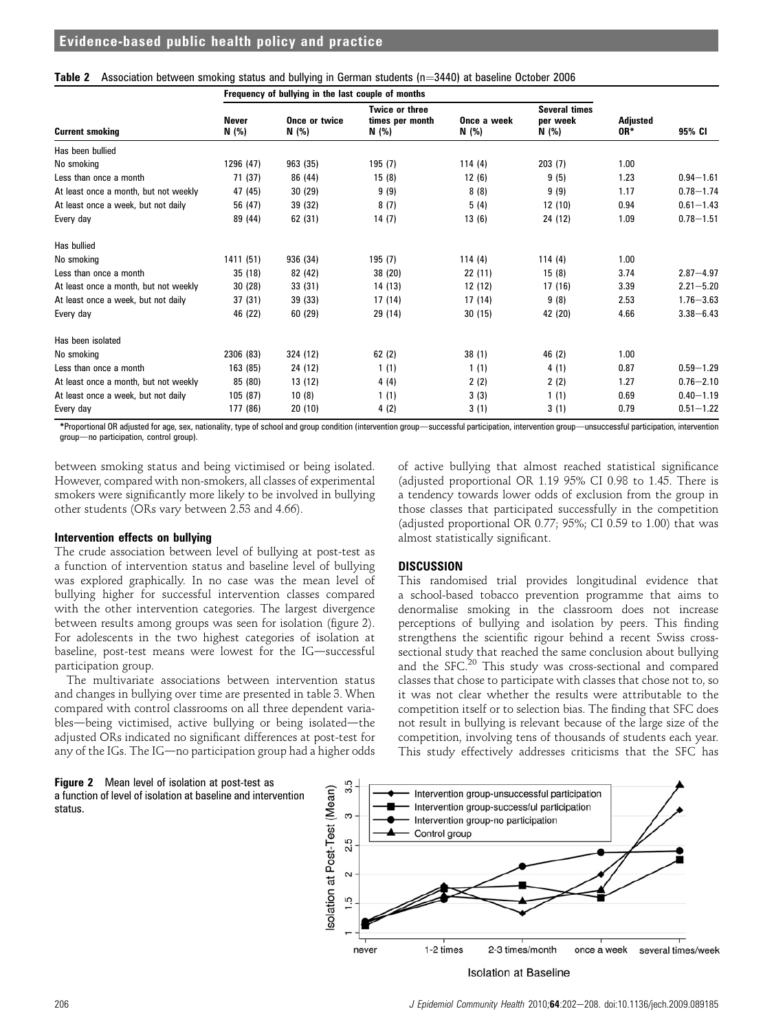|                                       | Frequency of bullying in the last couple of months |          |                                                                           |         |                                           |                 |               |
|---------------------------------------|----------------------------------------------------|----------|---------------------------------------------------------------------------|---------|-------------------------------------------|-----------------|---------------|
| <b>Current smoking</b>                | <b>Never</b><br>Once or twice<br>N (%)<br>N (%)    |          | <b>Twice or three</b><br>Once a week<br>times per month<br>N (%)<br>N (%) |         | <b>Several times</b><br>per week<br>N (%) | Adjusted<br>OR* | 95% CI        |
| Has been bullied                      |                                                    |          |                                                                           |         |                                           |                 |               |
| No smoking                            | 1296 (47)                                          | 963 (35) | 195 (7)                                                                   | 114(4)  | 203(7)                                    | 1.00            |               |
| Less than once a month                | 71 (37)                                            | 86 (44)  | 15(8)                                                                     | 12(6)   | 9(5)                                      | 1.23            | $0.94 - 1.61$ |
| At least once a month, but not weekly | 47 (45)                                            | 30(29)   | 9(9)                                                                      | 8(8)    | 9(9)                                      | 1.17            | $0.78 - 1.74$ |
| At least once a week, but not daily   | 56 (47)                                            | 39 (32)  | 8(7)                                                                      | 5(4)    | 12(10)                                    | 0.94            | $0.61 - 1.43$ |
| Every day                             | 89 (44)                                            | 62 (31)  | 14(7)                                                                     | 13(6)   | 24 (12)                                   | 1.09            | $0.78 - 1.51$ |
| Has bullied                           |                                                    |          |                                                                           |         |                                           |                 |               |
| No smoking                            | 1411 (51)                                          | 936 (34) | 195 (7)                                                                   | 114(4)  | 114(4)                                    | 1.00            |               |
| Less than once a month                | 35 (18)                                            | 82 (42)  | 38 (20)                                                                   | 22(11)  | 15(8)                                     | 3.74            | $2.87 - 4.97$ |
| At least once a month, but not weekly | 30(28)                                             | 33(31)   | 14 (13)                                                                   | 12 (12) | 17(16)                                    | 3.39            | $2.21 - 5.20$ |
| At least once a week, but not daily   | 37 (31)                                            | 39 (33)  | 17 (14)                                                                   | 17 (14) | 9(8)                                      | 2.53            | $1.76 - 3.63$ |
| Every day                             | 46 (22)                                            | 60 (29)  | 29 (14)                                                                   | 30(15)  | 42 (20)                                   | 4.66            | $3.38 - 6.43$ |
| Has been isolated                     |                                                    |          |                                                                           |         |                                           |                 |               |
| No smoking                            | 2306 (83)                                          | 324 (12) | 62(2)                                                                     | 38(1)   | 46 (2)                                    | 1.00            |               |
| Less than once a month                | 163 (85)                                           | 24 (12)  | 1(1)                                                                      | 1(1)    | 4(1)                                      | 0.87            | $0.59 - 1.29$ |
| At least once a month, but not weekly | 85 (80)                                            | 13 (12)  | 4(4)                                                                      | 2(2)    | 2(2)                                      | 1.27            | $0.76 - 2.10$ |
| At least once a week, but not daily   | 105 (87)                                           | 10(8)    | 1(1)                                                                      | 3(3)    | 1(1)                                      | 0.69            | $0.40 - 1.19$ |
| Every day                             | 177 (86)                                           | 20(10)   | 4(2)                                                                      | 3(1)    | 3(1)                                      | 0.79            | $0.51 - 1.22$ |

|  |  | Table 2 Association between smoking status and bullying in German students (n=3440) at baseline October 2006 |
|--|--|--------------------------------------------------------------------------------------------------------------|
|  |  |                                                                                                              |

\*Proportional OR adjusted for age, sex, nationality, type of school and group condition (intervention group—successful participation, intervention group—unsuccessful participation, intervention group-no participation, control group).

between smoking status and being victimised or being isolated. However, compared with non-smokers, all classes of experimental smokers were significantly more likely to be involved in bullying other students (ORs vary between 2.53 and 4.66).

# Intervention effects on bullying

The crude association between level of bullying at post-test as a function of intervention status and baseline level of bullying was explored graphically. In no case was the mean level of bullying higher for successful intervention classes compared with the other intervention categories. The largest divergence between results among groups was seen for isolation (figure 2). For adolescents in the two highest categories of isolation at baseline, post-test means were lowest for the IG-successful participation group.

The multivariate associations between intervention status and changes in bullying over time are presented in table 3. When compared with control classrooms on all three dependent variables-being victimised, active bullying or being isolated-the adjusted ORs indicated no significant differences at post-test for any of the IGs. The IG-no participation group had a higher odds

of active bullying that almost reached statistical significance (adjusted proportional OR 1.19 95% CI 0.98 to 1.45. There is a tendency towards lower odds of exclusion from the group in those classes that participated successfully in the competition (adjusted proportional OR 0.77; 95%; CI 0.59 to 1.00) that was almost statistically significant.

# **DISCUSSION**

This randomised trial provides longitudinal evidence that a school-based tobacco prevention programme that aims to denormalise smoking in the classroom does not increase perceptions of bullying and isolation by peers. This finding strengthens the scientific rigour behind a recent Swiss crosssectional study that reached the same conclusion about bullying and the SFC.<sup>20</sup> This study was cross-sectional and compared classes that chose to participate with classes that chose not to, so it was not clear whether the results were attributable to the competition itself or to selection bias. The finding that SFC does not result in bullying is relevant because of the large size of the competition, involving tens of thousands of students each year. This study effectively addresses criticisms that the SFC has



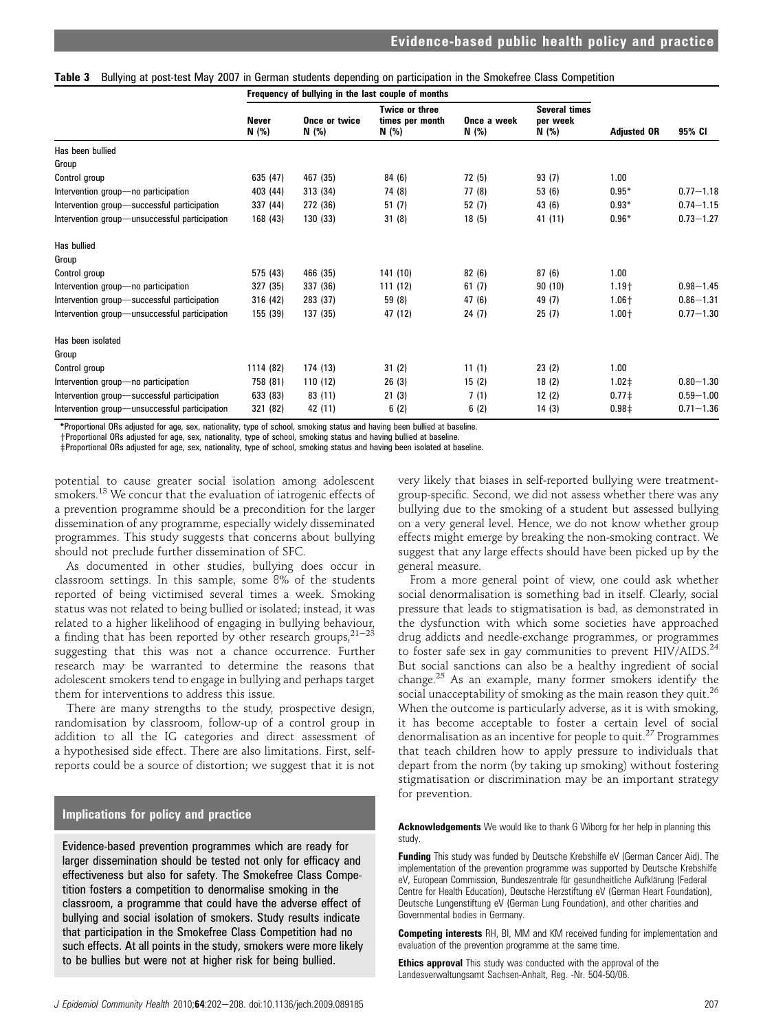|  |  |  |  |  | Table 3 Bullying at post-test May 2007 in German students depending on participation in the Smokefree Class Competition |
|--|--|--|--|--|-------------------------------------------------------------------------------------------------------------------------|
|--|--|--|--|--|-------------------------------------------------------------------------------------------------------------------------|

|                                               | Frequency of bullying in the last couple of months |                        |                                                   |                      |                                           |                    |               |
|-----------------------------------------------|----------------------------------------------------|------------------------|---------------------------------------------------|----------------------|-------------------------------------------|--------------------|---------------|
|                                               | <b>Never</b><br>N (%)                              | Once or twice<br>N (%) | <b>Twice or three</b><br>times per month<br>N (%) | Once a week<br>N (%) | <b>Several times</b><br>per week<br>N (%) | <b>Adjusted OR</b> | 95% CI        |
| Has been bullied                              |                                                    |                        |                                                   |                      |                                           |                    |               |
| Group                                         |                                                    |                        |                                                   |                      |                                           |                    |               |
| Control group                                 | 635 (47)                                           | 467 (35)               | 84 (6)                                            | 72 (5)               | 93(7)                                     | 1.00               |               |
| Intervention group-no participation           | 403 (44)                                           | 313 (34)               | 74 (8)                                            | 77 (8)               | 53(6)                                     | $0.95*$            | $0.77 - 1.18$ |
| Intervention group-successful participation   | 337 (44)                                           | 272 (36)               | 51(7)                                             | 52(7)                | 43 (6)                                    | $0.93*$            | $0.74 - 1.15$ |
| Intervention group-unsuccessful participation | 168 (43)                                           | 130 (33)               | 31(8)                                             | 18(5)                | 41 (11)                                   | $0.96*$            | $0.73 - 1.27$ |
| Has bullied                                   |                                                    |                        |                                                   |                      |                                           |                    |               |
| Group                                         |                                                    |                        |                                                   |                      |                                           |                    |               |
| Control group                                 | 575 (43)                                           | 466 (35)               | 141 (10)                                          | 82(6)                | 87(6)                                     | 1.00               |               |
| Intervention group-no participation           | 327 (35)                                           | 337 (36)               | 111 (12)                                          | 61(7)                | 90(10)                                    | $1.19 +$           | $0.98 - 1.45$ |
| Intervention group-successful participation   | 316 (42)                                           | 283 (37)               | 59 (8)                                            | 47 (6)               | 49 (7)                                    | $1.06 +$           | $0.86 - 1.31$ |
| Intervention group-unsuccessful participation | 155 (39)                                           | 137 (35)               | 47 (12)                                           | 24(7)                | 25(7)                                     | $1.00 +$           | $0.77 - 1.30$ |
| Has been isolated                             |                                                    |                        |                                                   |                      |                                           |                    |               |
| Group                                         |                                                    |                        |                                                   |                      |                                           |                    |               |
| Control group                                 | 1114 (82)                                          | 174 (13)               | 31(2)                                             | 11(1)                | 23(2)                                     | 1.00               |               |
| Intervention group-no participation           | 758 (81)                                           | 110(12)                | 26(3)                                             | 15(2)                | 18(2)                                     | $1.02 \pm$         | $0.80 - 1.30$ |
| Intervention group-successful participation   | 633 (83)                                           | 83 (11)                | 21(3)                                             | 7(1)                 | 12(2)                                     | $0.77 \pm$         | $0.59 - 1.00$ |
| Intervention group-unsuccessful participation | 321 (82)                                           | 42 (11)                | 6(2)                                              | 6(2)                 | 14(3)                                     | 0.98 <sup>‡</sup>  | $0.71 - 1.36$ |

\*Proportional ORs adjusted for age, sex, nationality, type of school, smoking status and having been bullied at baseline. yProportional ORs adjusted for age, sex, nationality, type of school, smoking status and having bullied at baseline.

zProportional ORs adjusted for age, sex, nationality, type of school, smoking status and having been isolated at baseline.

potential to cause greater social isolation among adolescent smokers.13 We concur that the evaluation of iatrogenic effects of a prevention programme should be a precondition for the larger dissemination of any programme, especially widely disseminated programmes. This study suggests that concerns about bullying should not preclude further dissemination of SFC.

As documented in other studies, bullying does occur in classroom settings. In this sample, some 8% of the students reported of being victimised several times a week. Smoking status was not related to being bullied or isolated; instead, it was related to a higher likelihood of engaging in bullying behaviour, a finding that has been reported by other research groups,  $21-23$ suggesting that this was not a chance occurrence. Further research may be warranted to determine the reasons that adolescent smokers tend to engage in bullying and perhaps target them for interventions to address this issue.

There are many strengths to the study, prospective design, randomisation by classroom, follow-up of a control group in addition to all the IG categories and direct assessment of a hypothesised side effect. There are also limitations. First, selfreports could be a source of distortion; we suggest that it is not

### Implications for policy and practice

Evidence-based prevention programmes which are ready for larger dissemination should be tested not only for efficacy and effectiveness but also for safety. The Smokefree Class Competition fosters a competition to denormalise smoking in the classroom, a programme that could have the adverse effect of bullying and social isolation of smokers. Study results indicate that participation in the Smokefree Class Competition had no such effects. At all points in the study, smokers were more likely to be bullies but were not at higher risk for being bullied.

very likely that biases in self-reported bullying were treatmentgroup-specific. Second, we did not assess whether there was any bullying due to the smoking of a student but assessed bullying on a very general level. Hence, we do not know whether group effects might emerge by breaking the non-smoking contract. We suggest that any large effects should have been picked up by the general measure.

From a more general point of view, one could ask whether social denormalisation is something bad in itself. Clearly, social pressure that leads to stigmatisation is bad, as demonstrated in the dysfunction with which some societies have approached drug addicts and needle-exchange programmes, or programmes to foster safe sex in gay communities to prevent HIV/AIDS.<sup>24</sup> But social sanctions can also be a healthy ingredient of social change.<sup>25</sup> As an example, many former smokers identify the social unacceptability of smoking as the main reason they quit.<sup>26</sup> When the outcome is particularly adverse, as it is with smoking, it has become acceptable to foster a certain level of social denormalisation as an incentive for people to quit.<sup>27</sup> Programmes that teach children how to apply pressure to individuals that depart from the norm (by taking up smoking) without fostering stigmatisation or discrimination may be an important strategy for prevention.

Acknowledgements We would like to thank G Wiborg for her help in planning this study.

Funding This study was funded by Deutsche Krebshilfe eV (German Cancer Aid). The implementation of the prevention programme was supported by Deutsche Krebshilfe eV, European Commission, Bundeszentrale für gesundheitliche Aufklärung (Federal Centre for Health Education), Deutsche Herzstiftung eV (German Heart Foundation), Deutsche Lungenstiftung eV (German Lung Foundation), and other charities and Governmental bodies in Germany.

Competing interests RH, BI, MM and KM received funding for implementation and evaluation of the prevention programme at the same time.

**Ethics approval** This study was conducted with the approval of the Landesverwaltungsamt Sachsen-Anhalt, Reg. -Nr. 504-50/06.